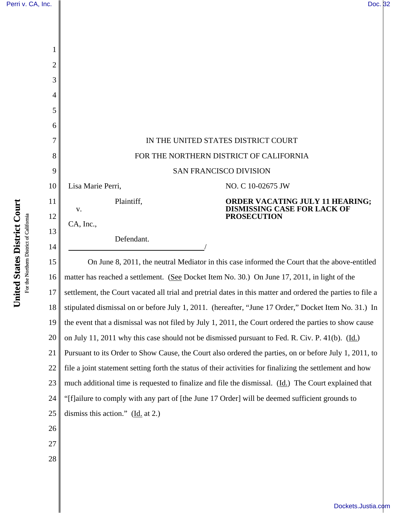| Perri v. CA, Inc. | Doc. 32 |  |
|-------------------|---------|--|
|-------------------|---------|--|

| 1              |                                                                                                             |  |  |  |
|----------------|-------------------------------------------------------------------------------------------------------------|--|--|--|
| $\overline{2}$ |                                                                                                             |  |  |  |
| 3              |                                                                                                             |  |  |  |
| 4              |                                                                                                             |  |  |  |
| 5              |                                                                                                             |  |  |  |
| 6              |                                                                                                             |  |  |  |
| 7              | IN THE UNITED STATES DISTRICT COURT                                                                         |  |  |  |
| 8              | FOR THE NORTHERN DISTRICT OF CALIFORNIA                                                                     |  |  |  |
| 9              | <b>SAN FRANCISCO DIVISION</b>                                                                               |  |  |  |
| 10             | Lisa Marie Perri,<br>NO. C 10-02675 JW                                                                      |  |  |  |
| 11             | Plaintiff,<br>ORDER VACATING JULY 11 HEARING;<br><b>DISMISSING CASE FOR LACK OF</b>                         |  |  |  |
| 12             | V.<br><b>PROSECUTION</b><br>CA, Inc.,                                                                       |  |  |  |
| 13             | Defendant.                                                                                                  |  |  |  |
| 14             |                                                                                                             |  |  |  |
| 15             | On June 8, 2011, the neutral Mediator in this case informed the Court that the above-entitled               |  |  |  |
| 16             | matter has reached a settlement. (See Docket Item No. 30.) On June 17, 2011, in light of the                |  |  |  |
| 17             | settlement, the Court vacated all trial and pretrial dates in this matter and ordered the parties to file a |  |  |  |
| 18             | stipulated dismissal on or before July 1, 2011. (hereafter, "June 17 Order," Docket Item No. 31.) In        |  |  |  |
| 19             | the event that a dismissal was not filed by July 1, 2011, the Court ordered the parties to show cause       |  |  |  |
| 20             | on July 11, 2011 why this case should not be dismissed pursuant to Fed. R. Civ. P. 41(b). (Id.)             |  |  |  |
| 21             | Pursuant to its Order to Show Cause, the Court also ordered the parties, on or before July 1, 2011, to      |  |  |  |
| 22             | file a joint statement setting forth the status of their activities for finalizing the settlement and how   |  |  |  |
| 23             | much additional time is requested to finalize and file the dismissal. (Id.) The Court explained that        |  |  |  |
| 24             | "[f]ailure to comply with any part of [the June 17 Order] will be deemed sufficient grounds to              |  |  |  |
| 25             | dismiss this action." $(\underline{Id}$ at 2.)                                                              |  |  |  |
| 26             |                                                                                                             |  |  |  |
| 27             |                                                                                                             |  |  |  |
| 28             |                                                                                                             |  |  |  |
|                |                                                                                                             |  |  |  |

[Dockets.Justia.com](http://dockets.justia.com/)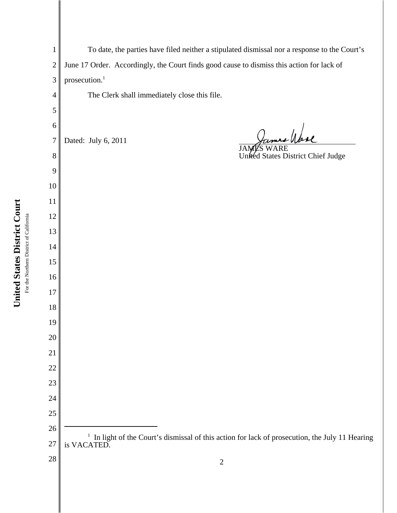To date, the parties have filed neither a stipulated dismissal nor a response to the Court's June 17 Order. Accordingly, the Court finds good cause to dismiss this action for lack of prosecution.<sup>1</sup> The Clerk shall immediately close this file. y /pare Dated: July 6, 2011 JAMES WARE United States District Chief Judge <sup>1</sup> In light of the Court's dismissal of this action for lack of prosecution, the July 11 Hearing is VACATED.